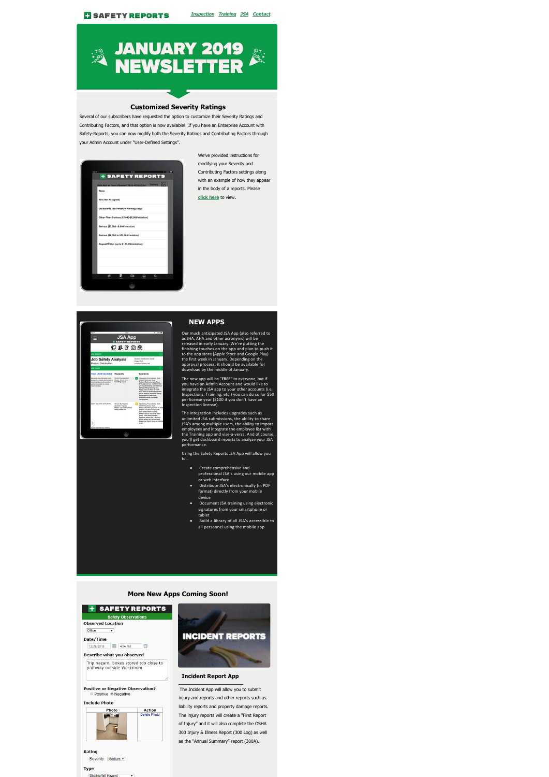# **C** SAFETY REPORTS



### **NEW APPS**

Our much anticipated JSA App (also referred to as JHA, AHA and other acronyms) will be released in early January. We're putting the finishing touches on the app and plan to push it to the app store (Apple Store and Google Play) the first week in January. Depending on the approval process, it should be available for download by the middle of January.

The new app will be "**FREE**" to everyone, but if you have an Admin Account and would like to integrate the JSA app to your other accounts (i.e. Inspections, Training, etc.) you can do so for \$50 per license year (\$100 if you don't have an Inspection license).

The integration includes upgrades such as



unlimited JSA submissions, the ability to share JSA's among multiple users, the ability to import employees and integrate the employee list with the Training app and vise‐a‐versa. And of course, you'll get dashboard reports to analyze your JSA performance.

Using the Safety Reports JSA App will allow you to…

- · Create comprehensive and professional JSA's using our mobile app or web interface
- · Distribute JSA's electronically (in PDF format) directly from your mobile device
- · Document JSA training using electronic signatures from your smartphone or tablet
- · Build a library of all JSA's accessible to all personnel using the mobile app

### **Incident Report App**

The Incident App will allow you to submit injury and reports and other reports such as liability reports and property damage reports. The injury reports will create a "First Report of Injury" and it will also complete the OSHA 300 Injury & Illness Report (300 Log) as well as the "Annual Summary" report (300A).

## **Customized Severity Ratings**

Several of our subscribers have requested the option to customize their Severity Ratings and Contributing Factors, and that option is now available! If you have an Enterprise Account with Safety-Reports, you can now modify both the Severity Ratings and Contributing Factors through your Admin Account under "User-Defined Settings".



We've provided instructions for modifying your Severity and Contributing Factors settings along with an example of how they appear in the body of a reports. Please **[click here](https://www.safety-reports.com/2019/01/03/how-to-customize-severity-ratings-and-contributing-factors/)** to view.

|                                                                                                                                   | 08.02                                                                                |                                                                      | $4.1$ 100%                                                                                                                                                                                                                                                                                                                                             |
|-----------------------------------------------------------------------------------------------------------------------------------|--------------------------------------------------------------------------------------|----------------------------------------------------------------------|--------------------------------------------------------------------------------------------------------------------------------------------------------------------------------------------------------------------------------------------------------------------------------------------------------------------------------------------------------|
|                                                                                                                                   | <b>JSA App</b><br><b>SAFETY REPORTS</b>                                              |                                                                      |                                                                                                                                                                                                                                                                                                                                                        |
|                                                                                                                                   | 使或居向快                                                                                |                                                                      |                                                                                                                                                                                                                                                                                                                                                        |
| <b>JSA HEADER</b>                                                                                                                 |                                                                                      |                                                                      |                                                                                                                                                                                                                                                                                                                                                        |
| <b>Job Safety Analysis</b><br><b>Product Distribution</b>                                                                         |                                                                                      | Division: Distribution Center<br>Project: N/A<br>Location: Omaha, NE |                                                                                                                                                                                                                                                                                                                                                        |
| <b>JSA TASKS</b>                                                                                                                  |                                                                                      |                                                                      |                                                                                                                                                                                                                                                                                                                                                        |
| Task (Add/Update)                                                                                                                 | Hazards                                                                              |                                                                      | Controls                                                                                                                                                                                                                                                                                                                                               |
| Receive merchandise from<br>boxes on rollers and check in<br>merchandise and position<br>carton in order to check<br>merchandise. | Strain/Overexertion<br>Notes: Strain from<br>handling boxes.                         |                                                                      | Operating Procedures, Safe<br>Work Practices, Rule<br>Notes: Make sure you have<br>firm grip on box and that feet<br>are planted firmly on the floor<br>before lifting/moving box.<br>Keep area on floor in work<br>area free of obstructions that<br>could lead to improper lifting<br>technique or awkward<br>postures while manually<br>moving box. |
| Open box with utility knife.                                                                                                      | Struck By/Against<br>(Sudden Impact)<br>Notes: Laceration from<br>utility knife use. |                                                                      | Operating Procedures, Safe<br>Work Practices, Rule<br>Notes: Position yourself so that<br>knife is not drawn towards<br>your body when cutting.<br>Always by to cut away from<br>body. Use sharp blades.                                                                                                                                               |

## **More New Apps Coming Soon!**



#### Describe what you observed

Trip hazard, boxes stored too close to pathway outside Workroom

#### **Positive or Negative Observation?** © Positive ® Negative

#### **Include Photo**



Rating Severity: Medium **Type** Slin/trin/fall Hazard